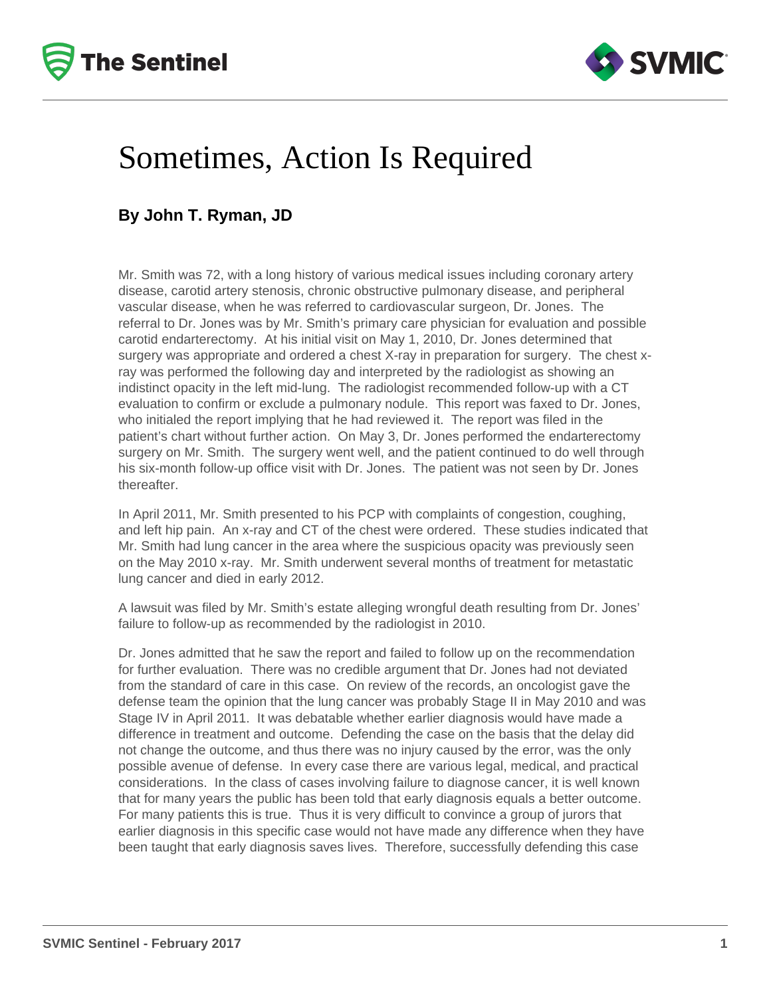



### Sometimes, Action Is Required

#### **By John T. Ryman, JD**

Mr. Smith was 72, with a long history of various medical issues including coronary artery disease, carotid artery stenosis, chronic obstructive pulmonary disease, and peripheral vascular disease, when he was referred to cardiovascular surgeon, Dr. Jones. The referral to Dr. Jones was by Mr. Smith's primary care physician for evaluation and possible carotid endarterectomy. At his initial visit on May 1, 2010, Dr. Jones determined that surgery was appropriate and ordered a chest X-ray in preparation for surgery. The chest xray was performed the following day and interpreted by the radiologist as showing an indistinct opacity in the left mid-lung. The radiologist recommended follow-up with a CT evaluation to confirm or exclude a pulmonary nodule. This report was faxed to Dr. Jones, who initialed the report implying that he had reviewed it. The report was filed in the patient's chart without further action. On May 3, Dr. Jones performed the endarterectomy surgery on Mr. Smith. The surgery went well, and the patient continued to do well through his six-month follow-up office visit with Dr. Jones. The patient was not seen by Dr. Jones thereafter.

In April 2011, Mr. Smith presented to his PCP with complaints of congestion, coughing, and left hip pain. An x-ray and CT of the chest were ordered. These studies indicated that Mr. Smith had lung cancer in the area where the suspicious opacity was previously seen on the May 2010 x-ray. Mr. Smith underwent several months of treatment for metastatic lung cancer and died in early 2012.

A lawsuit was filed by Mr. Smith's estate alleging wrongful death resulting from Dr. Jones' failure to follow-up as recommended by the radiologist in 2010.

Dr. Jones admitted that he saw the report and failed to follow up on the recommendation for further evaluation. There was no credible argument that Dr. Jones had not deviated from the standard of care in this case. On review of the records, an oncologist gave the defense team the opinion that the lung cancer was probably Stage II in May 2010 and was Stage IV in April 2011. It was debatable whether earlier diagnosis would have made a difference in treatment and outcome. Defending the case on the basis that the delay did not change the outcome, and thus there was no injury caused by the error, was the only possible avenue of defense. In every case there are various legal, medical, and practical considerations. In the class of cases involving failure to diagnose cancer, it is well known that for many years the public has been told that early diagnosis equals a better outcome. For many patients this is true. Thus it is very difficult to convince a group of jurors that earlier diagnosis in this specific case would not have made any difference when they have been taught that early diagnosis saves lives. Therefore, successfully defending this case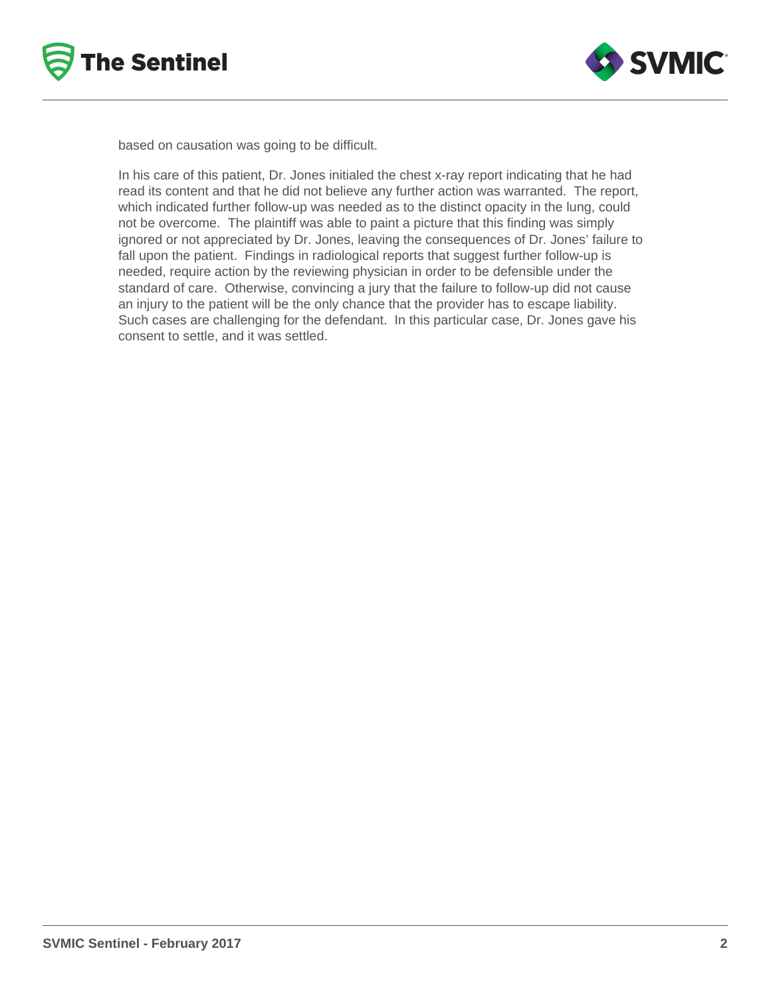



based on causation was going to be difficult.

In his care of this patient, Dr. Jones initialed the chest x-ray report indicating that he had read its content and that he did not believe any further action was warranted. The report, which indicated further follow-up was needed as to the distinct opacity in the lung, could not be overcome. The plaintiff was able to paint a picture that this finding was simply ignored or not appreciated by Dr. Jones, leaving the consequences of Dr. Jones' failure to fall upon the patient. Findings in radiological reports that suggest further follow-up is needed, require action by the reviewing physician in order to be defensible under the standard of care. Otherwise, convincing a jury that the failure to follow-up did not cause an injury to the patient will be the only chance that the provider has to escape liability. Such cases are challenging for the defendant. In this particular case, Dr. Jones gave his consent to settle, and it was settled.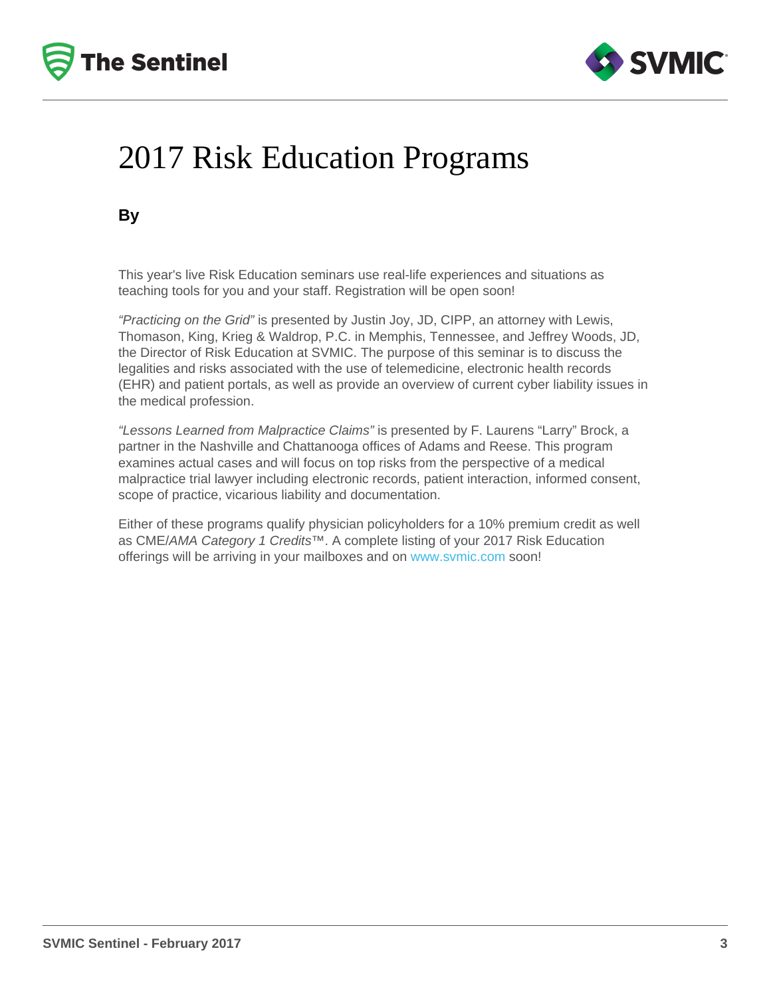# 2017 Risk Education Programs

By

This year's live Risk Education seminars use real-life experiences and situations as teaching tools for you and your staff. Registration will be open soon!

"Practicing on the Grid" is presented by Justin Joy, JD, CIPP, an attorney with Lewis, Thomason, King, Krieg & Waldrop, P.C. in Memphis, Tennessee, and Jeffrey Woods, JD, the Director of Risk Education at SVMIC. The purpose of this seminar is to discuss the legalities and risks associated with the use of telemedicine, electronic health records (EHR) and patient portals, as well as provide an overview of current cyber liability issues in the medical profession.

"Lessons Learned from Malpractice Claims" is presented by F. Laurens "Larry" Brock, a partner in the Nashville and Chattanooga offices of Adams and Reese. This program examines actual cases and will focus on top risks from the perspective of a medical malpractice trial lawyer including electronic records, patient interaction, informed consent, scope of practice, vicarious liability and documentation.

Either of these programs qualify physician policyholders for a 10% premium credit as well as CME/AMA Category 1 Credits™. A complete listing of your 2017 Risk Education offerings will be arriving in your mailboxes and on [www.svmic.com](https://www.svmic.com/Home/) soon!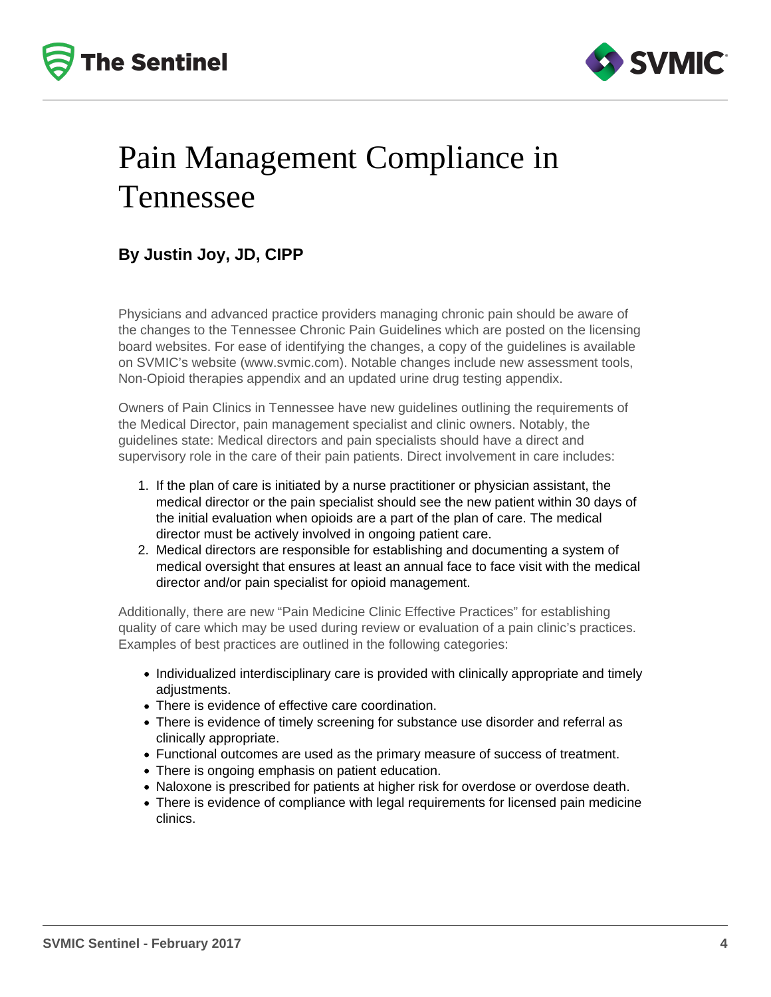



## Pain Management Compliance in Tennessee

### **By Justin Joy, JD, CIPP**

Physicians and advanced practice providers managing chronic pain should be aware of the changes to the Tennessee Chronic Pain Guidelines which are posted on the licensing board websites. For ease of identifying the changes, a copy of the guidelines is available on SVMIC's website (www.svmic.com). Notable changes include new assessment tools, Non-Opioid therapies appendix and an updated urine drug testing appendix.

Owners of Pain Clinics in Tennessee have new guidelines outlining the requirements of the Medical Director, pain management specialist and clinic owners. Notably, the guidelines state: Medical directors and pain specialists should have a direct and supervisory role in the care of their pain patients. Direct involvement in care includes:

- 1. If the plan of care is initiated by a nurse practitioner or physician assistant, the medical director or the pain specialist should see the new patient within 30 days of the initial evaluation when opioids are a part of the plan of care. The medical director must be actively involved in ongoing patient care.
- 2. Medical directors are responsible for establishing and documenting a system of medical oversight that ensures at least an annual face to face visit with the medical director and/or pain specialist for opioid management.

Additionally, there are new "Pain Medicine Clinic Effective Practices" for establishing quality of care which may be used during review or evaluation of a pain clinic's practices. Examples of best practices are outlined in the following categories:

- Individualized interdisciplinary care is provided with clinically appropriate and timely adjustments.
- There is evidence of effective care coordination.
- There is evidence of timely screening for substance use disorder and referral as clinically appropriate.
- Functional outcomes are used as the primary measure of success of treatment.
- There is ongoing emphasis on patient education.
- Naloxone is prescribed for patients at higher risk for overdose or overdose death.
- There is evidence of compliance with legal requirements for licensed pain medicine clinics.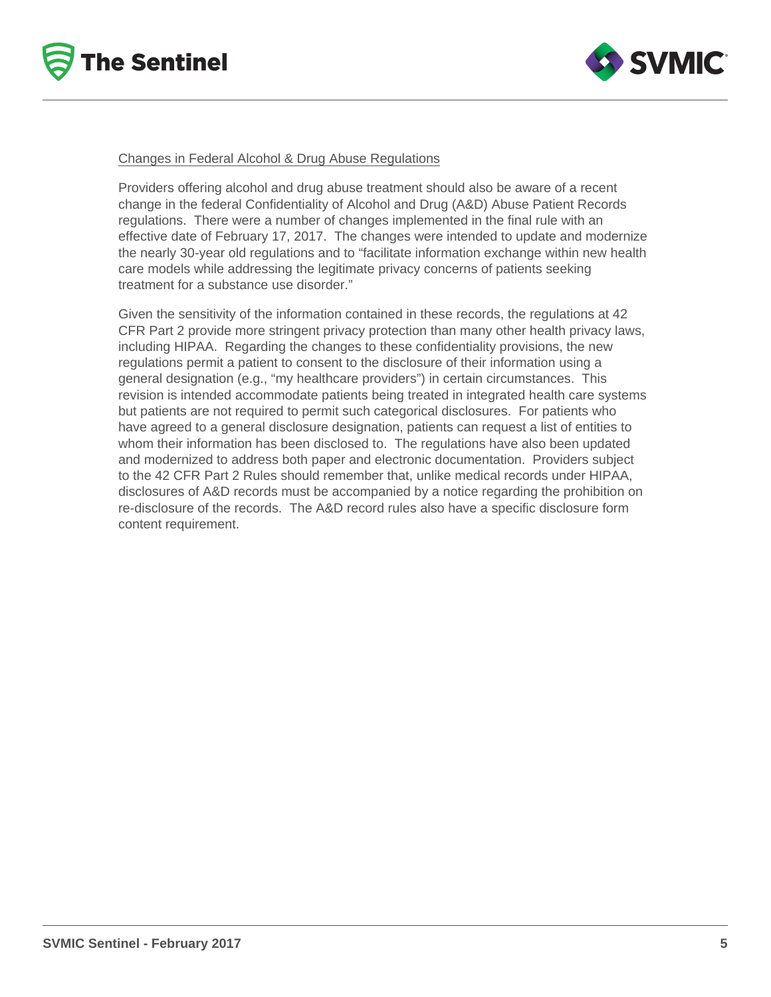



#### Changes in Federal Alcohol & Drug Abuse Regulations

Providers offering alcohol and drug abuse treatment should also be aware of a recent change in the federal Confidentiality of Alcohol and Drug (A&D) Abuse Patient Records regulations. There were a number of changes implemented in the final rule with an effective date of February 17, 2017. The changes were intended to update and modernize the nearly 30-year old regulations and to "facilitate information exchange within new health care models while addressing the legitimate privacy concerns of patients seeking treatment for a substance use disorder."

Given the sensitivity of the information contained in these records, the regulations at 42 CFR Part 2 provide more stringent privacy protection than many other health privacy laws, including HIPAA. Regarding the changes to these confidentiality provisions, the new regulations permit a patient to consent to the disclosure of their information using a general designation (e.g., "my healthcare providers") in certain circumstances. This revision is intended accommodate patients being treated in integrated health care systems but patients are not required to permit such categorical disclosures. For patients who have agreed to a general disclosure designation, patients can request a list of entities to whom their information has been disclosed to. The regulations have also been updated and modernized to address both paper and electronic documentation. Providers subject to the 42 CFR Part 2 Rules should remember that, unlike medical records under HIPAA, disclosures of A&D records must be accompanied by a notice regarding the prohibition on re-disclosure of the records. The A&D record rules also have a specific disclosure form content requirement.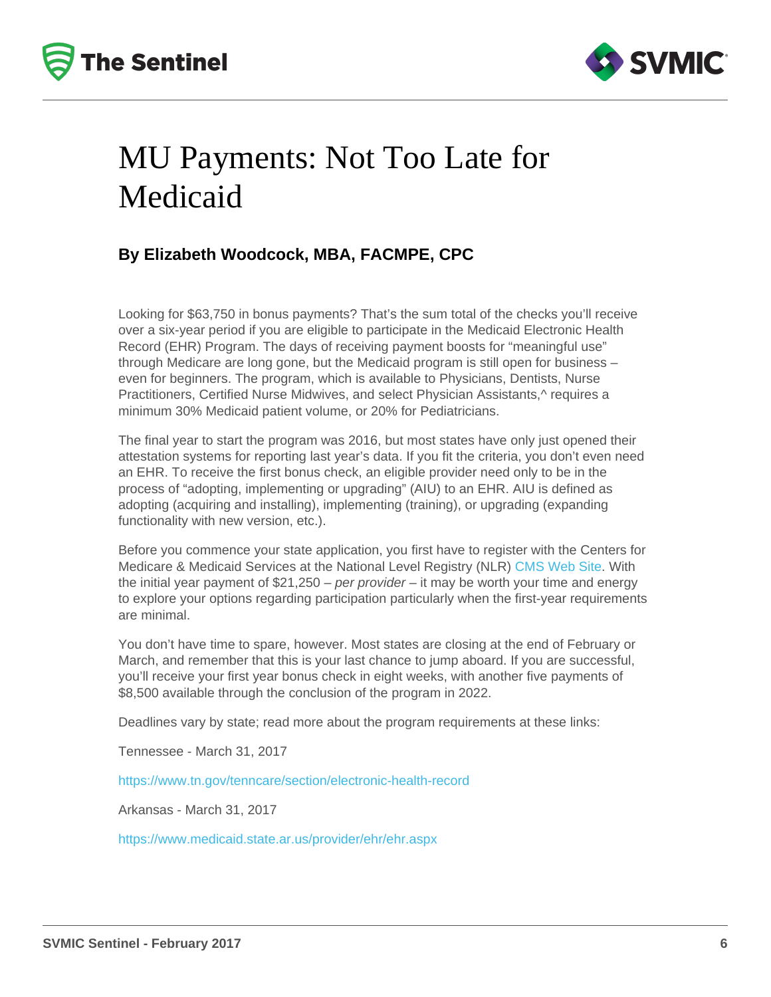## MU Payments: Not Too Late for Medicaid

#### By Elizabeth Woodcock, MBA, FACMPE, CPC

Looking for \$63,750 in bonus payments? That's the sum total of the checks you'll receive over a six-year period if you are eligible to participate in the Medicaid Electronic Health Record (EHR) Program. The days of receiving payment boosts for "meaningful use" through Medicare are long gone, but the Medicaid program is still open for business – even for beginners. The program, which is available to Physicians, Dentists, Nurse Practitioners, Certified Nurse Midwives, and select Physician Assistants,^ requires a minimum 30% Medicaid patient volume, or 20% for Pediatricians.

The final year to start the program was 2016, but most states have only just opened their attestation systems for reporting last year's data. If you fit the criteria, you don't even need an EHR. To receive the first bonus check, an eligible provider need only to be in the process of "adopting, implementing or upgrading" (AIU) to an EHR. AIU is defined as adopting (acquiring and installing), implementing (training), or upgrading (expanding functionality with new version, etc.).

Before you commence your state application, you first have to register with the Centers for Medicare & Medicaid Services at the National Level Registry (NLR) [CMS Web Site.](https://ehrincentives.cms.gov/hitech/login.action) With the initial year payment of \$21,250 – per provider – it may be worth your time and energy to explore your options regarding participation particularly when the first-year requirements are minimal.

You don't have time to spare, however. Most states are closing at the end of February or March, and remember that this is your last chance to jump aboard. If you are successful, you'll receive your first year bonus check in eight weeks, with another five payments of \$8,500 available through the conclusion of the program in 2022.

Deadlines vary by state; read more about the program requirements at these links:

Tennessee - March 31, 2017

<https://www.tn.gov/tenncare/section/electronic-health-record>

Arkansas - March 31, 2017

<https://www.medicaid.state.ar.us/provider/ehr/ehr.aspx>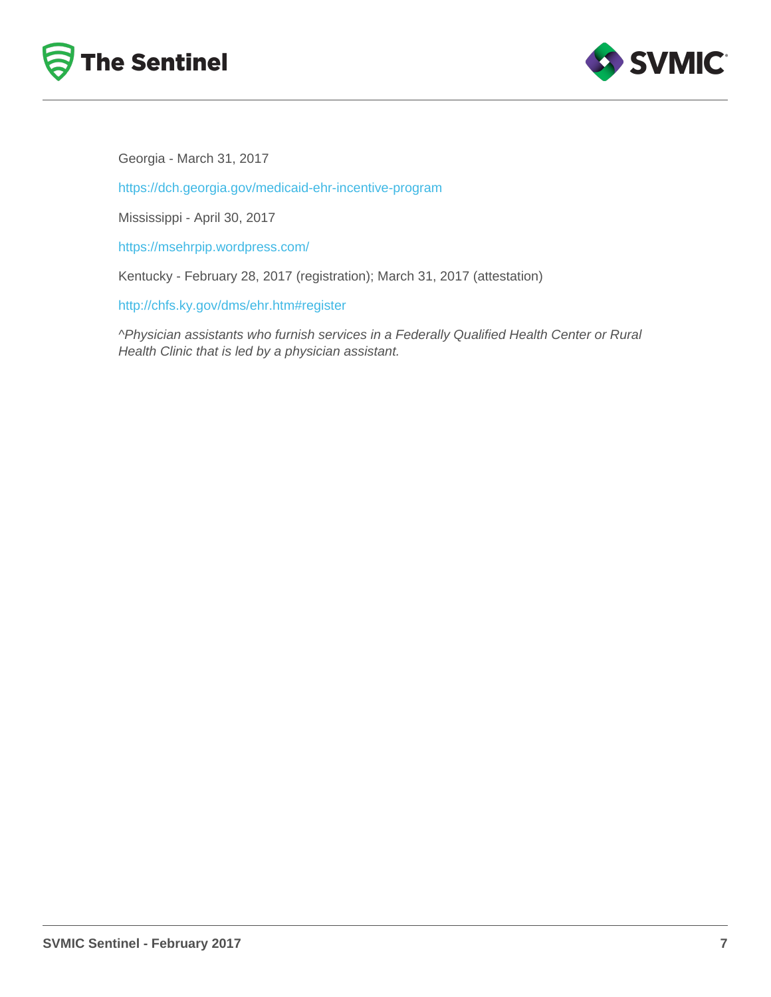Georgia - March 31, 2017

<https://dch.georgia.gov/medicaid-ehr-incentive-program>

Mississippi - April 30, 2017

<https://msehrpip.wordpress.com/>

Kentucky - February 28, 2017 (registration); March 31, 2017 (attestation)

<http://chfs.ky.gov/dms/ehr.htm#register>

^Physician assistants who furnish services in a Federally Qualified Health Center or Rural Health Clinic that is led by a physician assistant.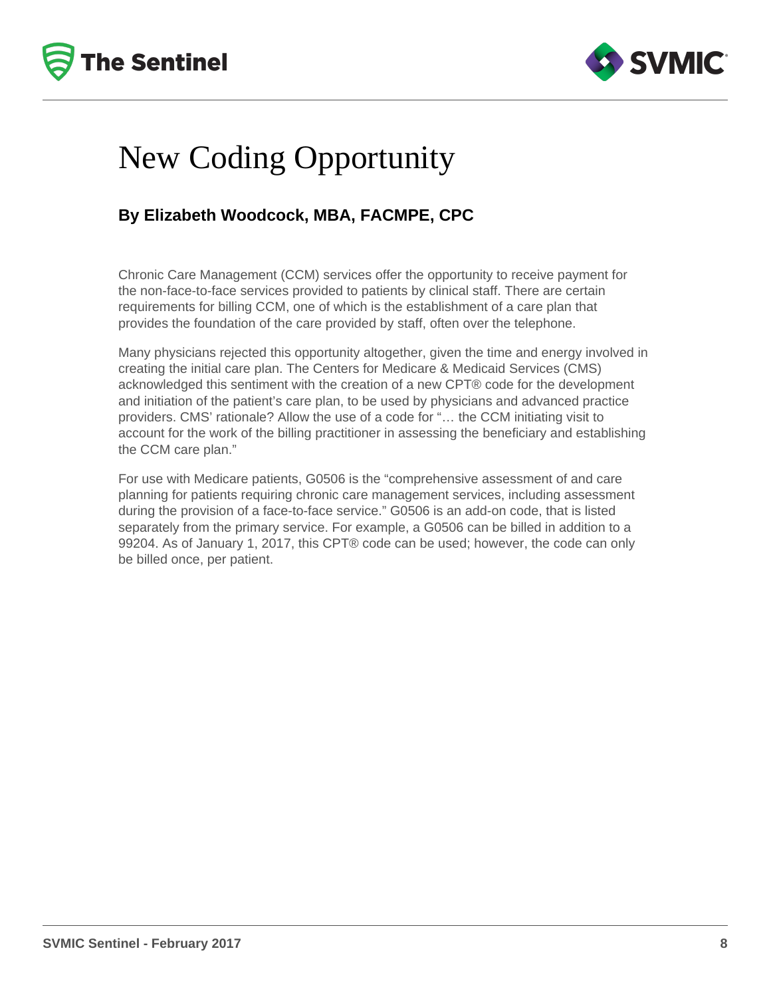



## New Coding Opportunity

#### **By Elizabeth Woodcock, MBA, FACMPE, CPC**

Chronic Care Management (CCM) services offer the opportunity to receive payment for the non-face-to-face services provided to patients by clinical staff. There are certain requirements for billing CCM, one of which is the establishment of a care plan that provides the foundation of the care provided by staff, often over the telephone.

Many physicians rejected this opportunity altogether, given the time and energy involved in creating the initial care plan. The Centers for Medicare & Medicaid Services (CMS) acknowledged this sentiment with the creation of a new CPT® code for the development and initiation of the patient's care plan, to be used by physicians and advanced practice providers. CMS' rationale? Allow the use of a code for "… the CCM initiating visit to account for the work of the billing practitioner in assessing the beneficiary and establishing the CCM care plan."

For use with Medicare patients, G0506 is the "comprehensive assessment of and care planning for patients requiring chronic care management services, including assessment during the provision of a face-to-face service." G0506 is an add-on code, that is listed separately from the primary service. For example, a G0506 can be billed in addition to a 99204. As of January 1, 2017, this CPT® code can be used; however, the code can only be billed once, per patient.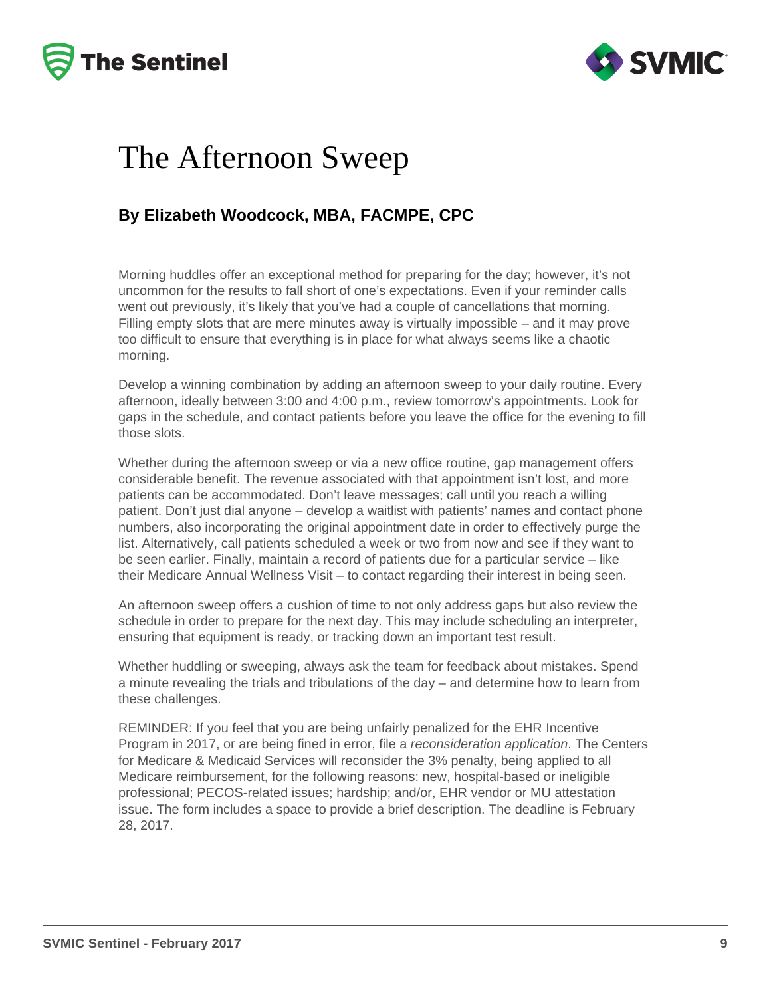



### The Afternoon Sweep

#### **By Elizabeth Woodcock, MBA, FACMPE, CPC**

Morning huddles offer an exceptional method for preparing for the day; however, it's not uncommon for the results to fall short of one's expectations. Even if your reminder calls went out previously, it's likely that you've had a couple of cancellations that morning. Filling empty slots that are mere minutes away is virtually impossible – and it may prove too difficult to ensure that everything is in place for what always seems like a chaotic morning.

Develop a winning combination by adding an afternoon sweep to your daily routine. Every afternoon, ideally between 3:00 and 4:00 p.m., review tomorrow's appointments. Look for gaps in the schedule, and contact patients before you leave the office for the evening to fill those slots.

Whether during the afternoon sweep or via a new office routine, gap management offers considerable benefit. The revenue associated with that appointment isn't lost, and more patients can be accommodated. Don't leave messages; call until you reach a willing patient. Don't just dial anyone – develop a waitlist with patients' names and contact phone numbers, also incorporating the original appointment date in order to effectively purge the list. Alternatively, call patients scheduled a week or two from now and see if they want to be seen earlier. Finally, maintain a record of patients due for a particular service – like their Medicare Annual Wellness Visit – to contact regarding their interest in being seen.

An afternoon sweep offers a cushion of time to not only address gaps but also review the schedule in order to prepare for the next day. This may include scheduling an interpreter, ensuring that equipment is ready, or tracking down an important test result.

Whether huddling or sweeping, always ask the team for feedback about mistakes. Spend a minute revealing the trials and tribulations of the day – and determine how to learn from these challenges.

REMINDER: If you feel that you are being unfairly penalized for the EHR Incentive Program in 2017, or are being fined in error, file a reconsideration application. The Centers for Medicare & Medicaid Services will reconsider the 3% penalty, being applied to all Medicare reimbursement, for the following reasons: new, hospital-based or ineligible professional; PECOS-related issues; hardship; and/or, EHR vendor or MU attestation issue. The form includes a space to provide a brief description. The deadline is February 28, 2017.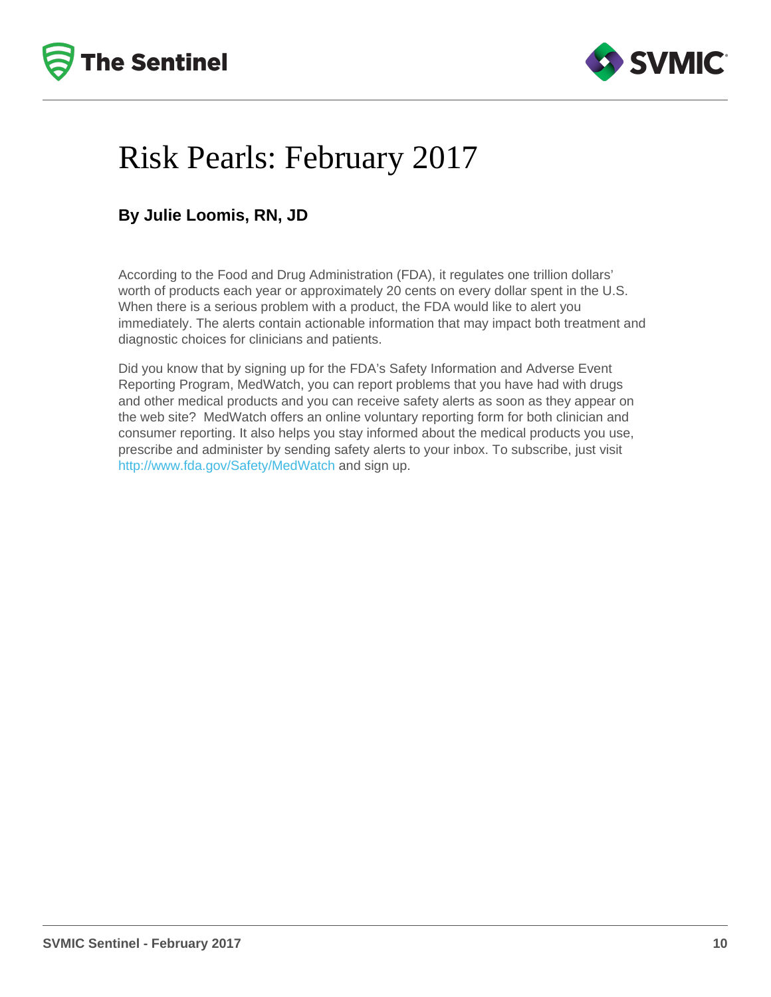# Risk Pearls: February 2017

#### By Julie Loomis, RN, JD

According to the Food and Drug Administration (FDA), it regulates one trillion dollars' worth of products each year or approximately 20 cents on every dollar spent in the U.S. When there is a serious problem with a product, the FDA would like to alert you immediately. The alerts contain actionable information that may impact both treatment and diagnostic choices for clinicians and patients.

Did you know that by signing up for the FDA's Safety Information and Adverse Event Reporting Program, MedWatch, you can report problems that you have had with drugs and other medical products and you can receive safety alerts as soon as they appear on the web site? MedWatch offers an online voluntary reporting form for both clinician and consumer reporting. It also helps you stay informed about the medical products you use, prescribe and administer by sending safety alerts to your inbox. To subscribe, just visit [http://www.fda.gov/Safety/MedWatch](http://www.fda.gov/Safety/MedWatch/default.htm) and sign up.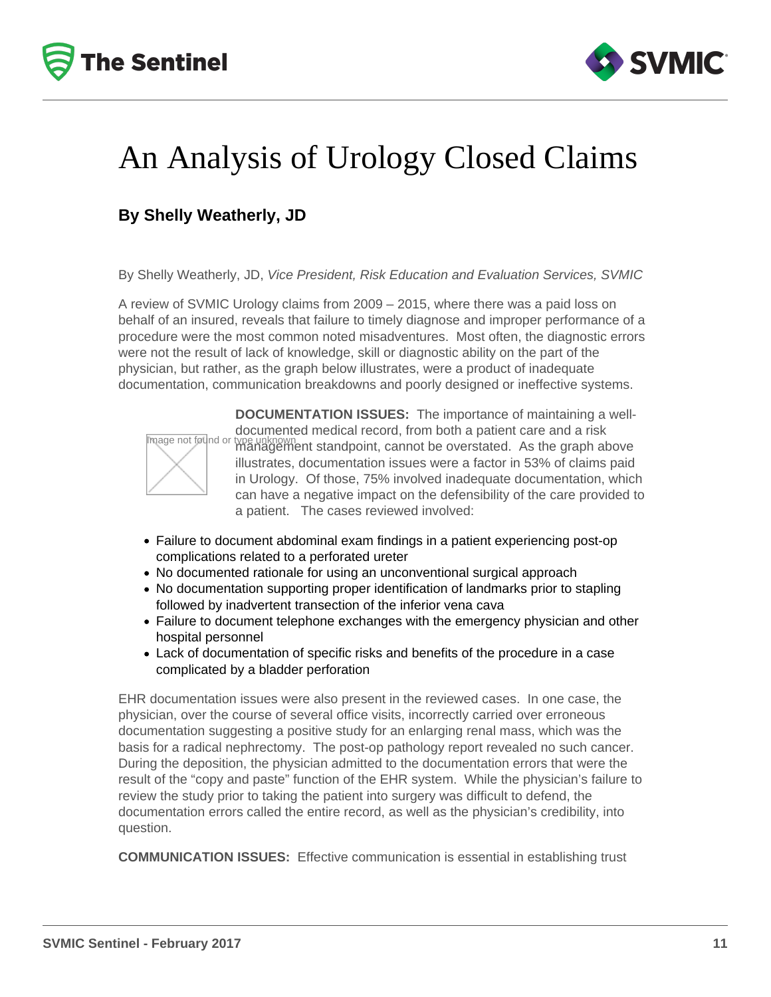



## An Analysis of Urology Closed Claims

### **By Shelly Weatherly, JD**

By Shelly Weatherly, JD, Vice President, Risk Education and Evaluation Services, SVMIC

A review of SVMIC Urology claims from 2009 – 2015, where there was a paid loss on behalf of an insured, reveals that failure to timely diagnose and improper performance of a procedure were the most common noted misadventures. Most often, the diagnostic errors were not the result of lack of knowledge, skill or diagnostic ability on the part of the physician, but rather, as the graph below illustrates, were a product of inadequate documentation, communication breakdowns and poorly designed or ineffective systems.



**DOCUMENTATION ISSUES:** The importance of maintaining a welldocumented medical record, from both a patient care and a risk type unknown<br>management standpoint, cannot be overstated. As the graph above illustrates, documentation issues were a factor in 53% of claims paid in Urology. Of those, 75% involved inadequate documentation, which can have a negative impact on the defensibility of the care provided to a patient. The cases reviewed involved:

- Failure to document abdominal exam findings in a patient experiencing post-op complications related to a perforated ureter
- No documented rationale for using an unconventional surgical approach
- No documentation supporting proper identification of landmarks prior to stapling followed by inadvertent transection of the inferior vena cava
- Failure to document telephone exchanges with the emergency physician and other hospital personnel
- Lack of documentation of specific risks and benefits of the procedure in a case complicated by a bladder perforation

EHR documentation issues were also present in the reviewed cases. In one case, the physician, over the course of several office visits, incorrectly carried over erroneous documentation suggesting a positive study for an enlarging renal mass, which was the basis for a radical nephrectomy. The post-op pathology report revealed no such cancer. During the deposition, the physician admitted to the documentation errors that were the result of the "copy and paste" function of the EHR system. While the physician's failure to review the study prior to taking the patient into surgery was difficult to defend, the documentation errors called the entire record, as well as the physician's credibility, into question.

**COMMUNICATION ISSUES:** Effective communication is essential in establishing trust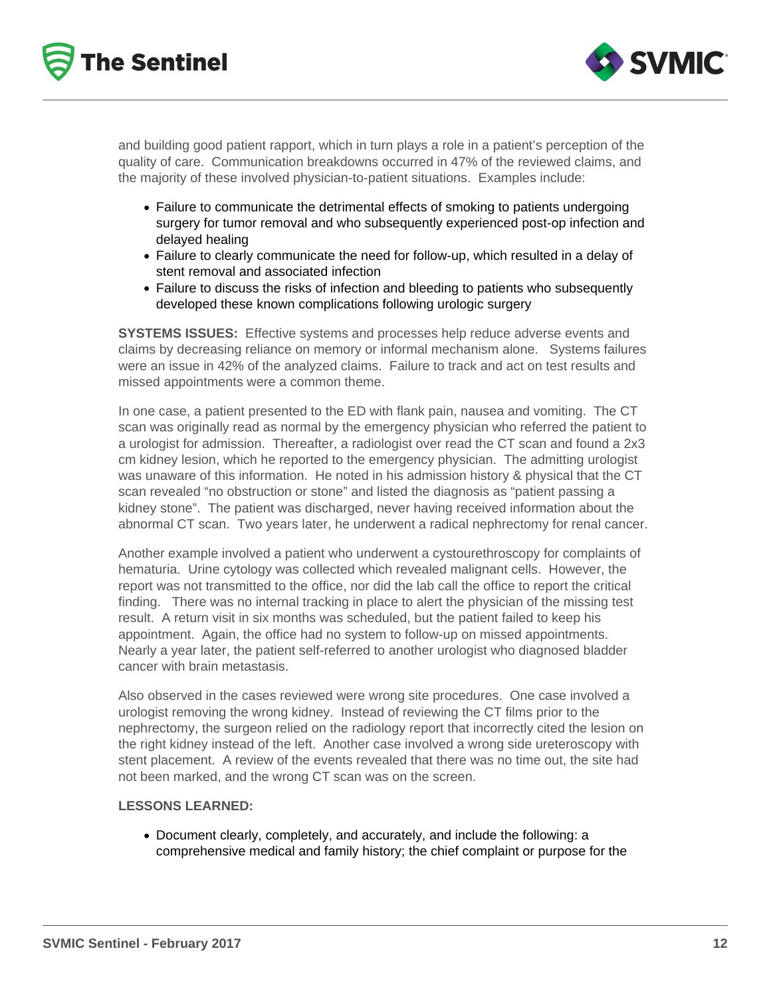



and building good patient rapport, which in turn plays a role in a patient's perception of the quality of care. Communication breakdowns occurred in 47% of the reviewed claims, and the majority of these involved physician-to-patient situations. Examples include:

- Failure to communicate the detrimental effects of smoking to patients undergoing surgery for tumor removal and who subsequently experienced post-op infection and delayed healing
- Failure to clearly communicate the need for follow-up, which resulted in a delay of stent removal and associated infection
- Failure to discuss the risks of infection and bleeding to patients who subsequently developed these known complications following urologic surgery

**SYSTEMS ISSUES:** Effective systems and processes help reduce adverse events and claims by decreasing reliance on memory or informal mechanism alone. Systems failures were an issue in 42% of the analyzed claims. Failure to track and act on test results and missed appointments were a common theme.

In one case, a patient presented to the ED with flank pain, nausea and vomiting. The CT scan was originally read as normal by the emergency physician who referred the patient to a urologist for admission. Thereafter, a radiologist over read the CT scan and found a 2x3 cm kidney lesion, which he reported to the emergency physician. The admitting urologist was unaware of this information. He noted in his admission history & physical that the CT scan revealed "no obstruction or stone" and listed the diagnosis as "patient passing a kidney stone". The patient was discharged, never having received information about the abnormal CT scan. Two years later, he underwent a radical nephrectomy for renal cancer.

Another example involved a patient who underwent a cystourethroscopy for complaints of hematuria. Urine cytology was collected which revealed malignant cells. However, the report was not transmitted to the office, nor did the lab call the office to report the critical finding. There was no internal tracking in place to alert the physician of the missing test result. A return visit in six months was scheduled, but the patient failed to keep his appointment. Again, the office had no system to follow-up on missed appointments. Nearly a year later, the patient self-referred to another urologist who diagnosed bladder cancer with brain metastasis.

Also observed in the cases reviewed were wrong site procedures. One case involved a urologist removing the wrong kidney. Instead of reviewing the CT films prior to the nephrectomy, the surgeon relied on the radiology report that incorrectly cited the lesion on the right kidney instead of the left. Another case involved a wrong side ureteroscopy with stent placement. A review of the events revealed that there was no time out, the site had not been marked, and the wrong CT scan was on the screen.

#### **LESSONS LEARNED:**

Document clearly, completely, and accurately, and include the following: a comprehensive medical and family history; the chief complaint or purpose for the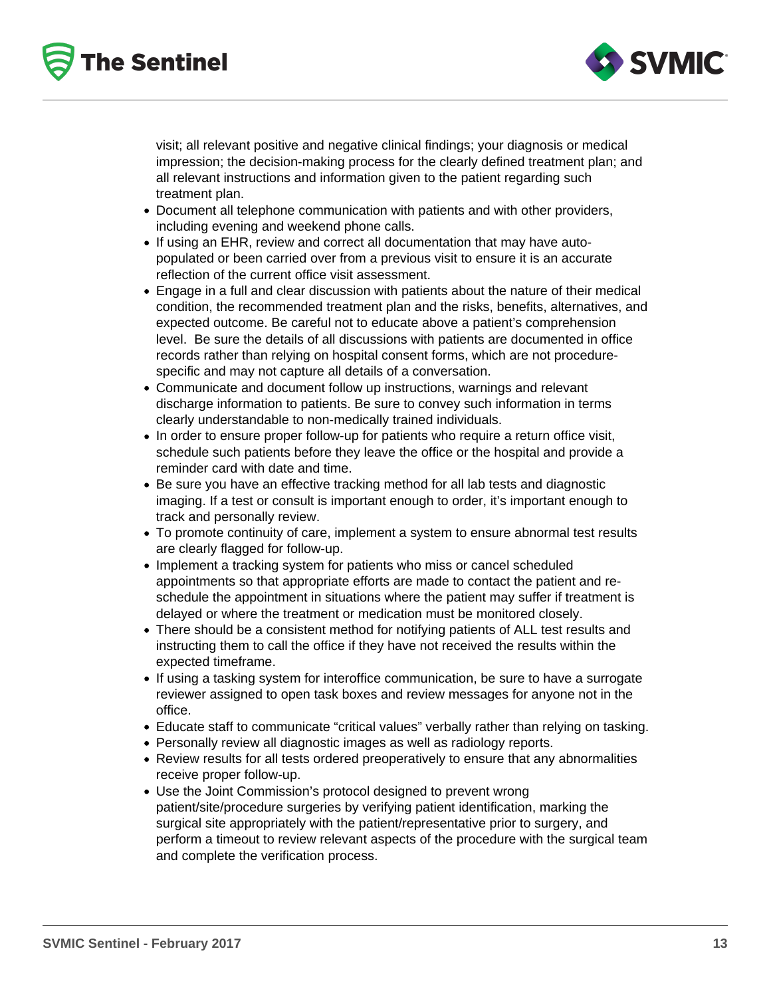



visit; all relevant positive and negative clinical findings; your diagnosis or medical impression; the decision-making process for the clearly defined treatment plan; and all relevant instructions and information given to the patient regarding such treatment plan.

- Document all telephone communication with patients and with other providers, including evening and weekend phone calls.
- If using an EHR, review and correct all documentation that may have autopopulated or been carried over from a previous visit to ensure it is an accurate reflection of the current office visit assessment.
- Engage in a full and clear discussion with patients about the nature of their medical condition, the recommended treatment plan and the risks, benefits, alternatives, and expected outcome. Be careful not to educate above a patient's comprehension level. Be sure the details of all discussions with patients are documented in office records rather than relying on hospital consent forms, which are not procedurespecific and may not capture all details of a conversation.
- Communicate and document follow up instructions, warnings and relevant discharge information to patients. Be sure to convey such information in terms clearly understandable to non-medically trained individuals.
- In order to ensure proper follow-up for patients who require a return office visit, schedule such patients before they leave the office or the hospital and provide a reminder card with date and time.
- Be sure you have an effective tracking method for all lab tests and diagnostic imaging. If a test or consult is important enough to order, it's important enough to track and personally review.
- To promote continuity of care, implement a system to ensure abnormal test results are clearly flagged for follow-up.
- Implement a tracking system for patients who miss or cancel scheduled appointments so that appropriate efforts are made to contact the patient and reschedule the appointment in situations where the patient may suffer if treatment is delayed or where the treatment or medication must be monitored closely.
- There should be a consistent method for notifying patients of ALL test results and instructing them to call the office if they have not received the results within the expected timeframe.
- If using a tasking system for interoffice communication, be sure to have a surrogate reviewer assigned to open task boxes and review messages for anyone not in the office.
- Educate staff to communicate "critical values" verbally rather than relying on tasking.
- Personally review all diagnostic images as well as radiology reports.
- Review results for all tests ordered preoperatively to ensure that any abnormalities receive proper follow-up.
- Use the Joint Commission's protocol designed to prevent wrong patient/site/procedure surgeries by verifying patient identification, marking the surgical site appropriately with the patient/representative prior to surgery, and perform a timeout to review relevant aspects of the procedure with the surgical team and complete the verification process.